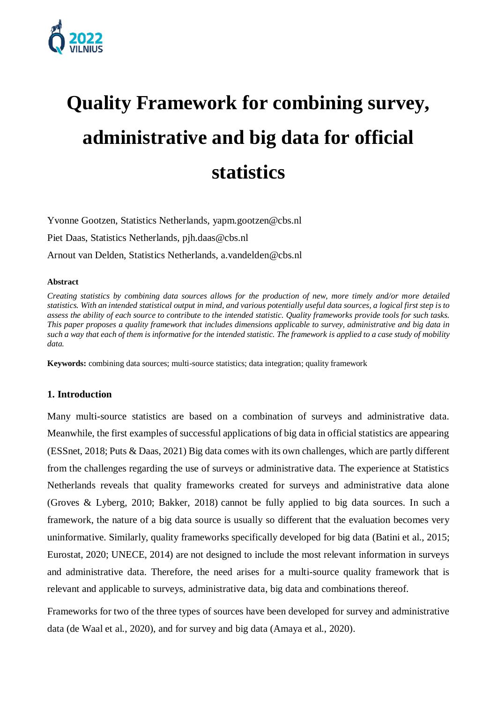

# **Quality Framework for combining survey, administrative and big data for official statistics**

Yvonne Gootzen, Statistics Netherlands, yapm.gootzen@cbs.nl Piet Daas, Statistics Netherlands, pjh.daas@cbs.nl Arnout van Delden, Statistics Netherlands, a.vandelden@cbs.nl

#### **Abstract**

*Creating statistics by combining data sources allows for the production of new, more timely and/or more detailed statistics. With an intended statistical output in mind, and various potentially useful data sources, a logical first step is to assess the ability of each source to contribute to the intended statistic. Quality frameworks provide tools for such tasks. This paper proposes a quality framework that includes dimensions applicable to survey, administrative and big data in such a way that each of them is informative for the intended statistic. The framework is applied to a case study of mobility data.*

**Keywords:** combining data sources; multi-source statistics; data integration; quality framework

### **1. Introduction**

Many multi-source statistics are based on a combination of surveys and administrative data. Meanwhile, the first examples of successful applications of big data in official statistics are appearing (ESSnet, 2018; Puts & Daas, 2021) Big data comes with its own challenges, which are partly different from the challenges regarding the use of surveys or administrative data. The experience at Statistics Netherlands reveals that quality frameworks created for surveys and administrative data alone (Groves & Lyberg, 2010; Bakker, 2018) cannot be fully applied to big data sources. In such a framework, the nature of a big data source is usually so different that the evaluation becomes very uninformative. Similarly, quality frameworks specifically developed for big data (Batini et al., 2015; Eurostat, 2020; UNECE, 2014) are not designed to include the most relevant information in surveys and administrative data. Therefore, the need arises for a multi-source quality framework that is relevant and applicable to surveys, administrative data, big data and combinations thereof.

Frameworks for two of the three types of sources have been developed for survey and administrative data (de Waal et al., 2020), and for survey and big data (Amaya et al., 2020).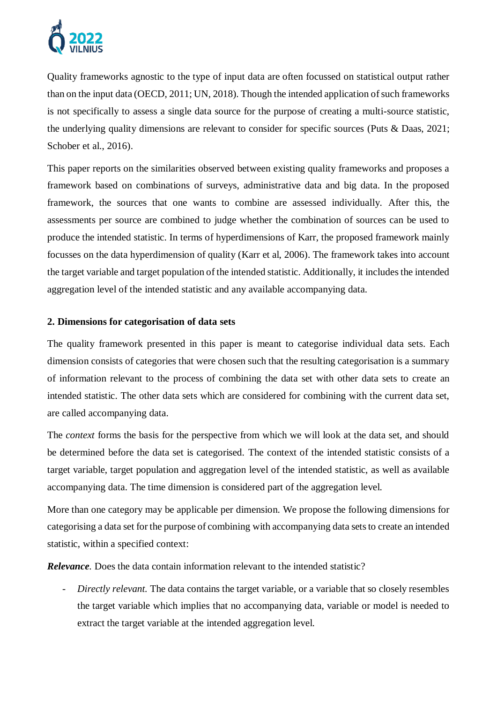

Quality frameworks agnostic to the type of input data are often focussed on statistical output rather than on the input data (OECD, 2011; UN, 2018). Though the intended application of such frameworks is not specifically to assess a single data source for the purpose of creating a multi-source statistic, the underlying quality dimensions are relevant to consider for specific sources (Puts & Daas, 2021; Schober et al., 2016).

This paper reports on the similarities observed between existing quality frameworks and proposes a framework based on combinations of surveys, administrative data and big data. In the proposed framework, the sources that one wants to combine are assessed individually. After this, the assessments per source are combined to judge whether the combination of sources can be used to produce the intended statistic. In terms of hyperdimensions of Karr, the proposed framework mainly focusses on the data hyperdimension of quality (Karr et al, 2006). The framework takes into account the target variable and target population of the intended statistic. Additionally, it includes the intended aggregation level of the intended statistic and any available accompanying data.

# **2. Dimensions for categorisation of data sets**

The quality framework presented in this paper is meant to categorise individual data sets. Each dimension consists of categories that were chosen such that the resulting categorisation is a summary of information relevant to the process of combining the data set with other data sets to create an intended statistic. The other data sets which are considered for combining with the current data set, are called accompanying data.

The *context* forms the basis for the perspective from which we will look at the data set, and should be determined before the data set is categorised. The context of the intended statistic consists of a target variable, target population and aggregation level of the intended statistic, as well as available accompanying data. The time dimension is considered part of the aggregation level.

More than one category may be applicable per dimension. We propose the following dimensions for categorising a data set for the purpose of combining with accompanying data sets to create an intended statistic, within a specified context:

*Relevance.* Does the data contain information relevant to the intended statistic?

- *Directly relevant.* The data contains the target variable, or a variable that so closely resembles the target variable which implies that no accompanying data, variable or model is needed to extract the target variable at the intended aggregation level.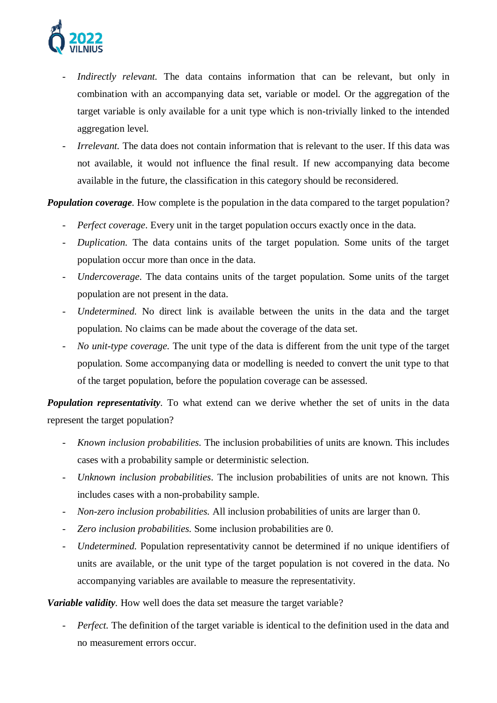

- Indirectly relevant. The data contains information that can be relevant, but only in combination with an accompanying data set, variable or model. Or the aggregation of the target variable is only available for a unit type which is non-trivially linked to the intended aggregation level.
- *Irrelevant.* The data does not contain information that is relevant to the user. If this data was not available, it would not influence the final result. If new accompanying data become available in the future, the classification in this category should be reconsidered.

*Population coverage.* How complete is the population in the data compared to the target population?

- *Perfect coverage*. Every unit in the target population occurs exactly once in the data.
- *Duplication.* The data contains units of the target population. Some units of the target population occur more than once in the data.
- *Undercoverage*. The data contains units of the target population. Some units of the target population are not present in the data.
- *Undetermined.* No direct link is available between the units in the data and the target population. No claims can be made about the coverage of the data set.
- *No unit-type coverage.* The unit type of the data is different from the unit type of the target population. Some accompanying data or modelling is needed to convert the unit type to that of the target population, before the population coverage can be assessed.

*Population representativity.* To what extend can we derive whether the set of units in the data represent the target population?

- *Known inclusion probabilities.* The inclusion probabilities of units are known. This includes cases with a probability sample or deterministic selection.
- *Unknown inclusion probabilities*. The inclusion probabilities of units are not known. This includes cases with a non-probability sample.
- *Non-zero inclusion probabilities.* All inclusion probabilities of units are larger than 0.
- *Zero inclusion probabilities.* Some inclusion probabilities are 0.
- *Undetermined.* Population representativity cannot be determined if no unique identifiers of units are available, or the unit type of the target population is not covered in the data. No accompanying variables are available to measure the representativity.

# *Variable validity.* How well does the data set measure the target variable?

*Perfect*. The definition of the target variable is identical to the definition used in the data and no measurement errors occur.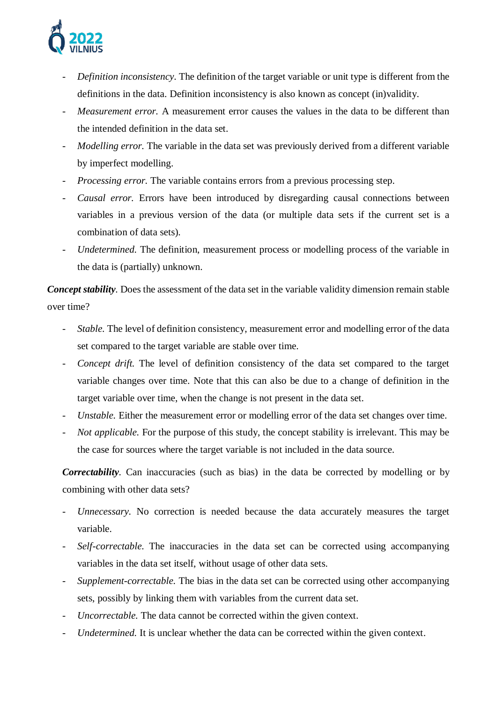

- *Definition inconsistency.* The definition of the target variable or unit type is different from the definitions in the data. Definition inconsistency is also known as concept (in)validity.
- *Measurement error.* A measurement error causes the values in the data to be different than the intended definition in the data set.
- *Modelling error.* The variable in the data set was previously derived from a different variable by imperfect modelling.
- *Processing error.* The variable contains errors from a previous processing step.
- *Causal error.* Errors have been introduced by disregarding causal connections between variables in a previous version of the data (or multiple data sets if the current set is a combination of data sets).
- *Undetermined.* The definition, measurement process or modelling process of the variable in the data is (partially) unknown.

*Concept stability.* Does the assessment of the data set in the variable validity dimension remain stable over time?

- *Stable.* The level of definition consistency, measurement error and modelling error of the data set compared to the target variable are stable over time.
- *Concept drift*. The level of definition consistency of the data set compared to the target variable changes over time. Note that this can also be due to a change of definition in the target variable over time, when the change is not present in the data set.
- *Unstable.* Either the measurement error or modelling error of the data set changes over time.
- *Not applicable.* For the purpose of this study, the concept stability is irrelevant. This may be the case for sources where the target variable is not included in the data source.

*Correctability*. Can inaccuracies (such as bias) in the data be corrected by modelling or by combining with other data sets?

- *Unnecessary.* No correction is needed because the data accurately measures the target variable.
- Self-correctable. The inaccuracies in the data set can be corrected using accompanying variables in the data set itself, without usage of other data sets.
- *Supplement-correctable.* The bias in the data set can be corrected using other accompanying sets, possibly by linking them with variables from the current data set.
- *Uncorrectable.* The data cannot be corrected within the given context.
- *Undetermined.* It is unclear whether the data can be corrected within the given context.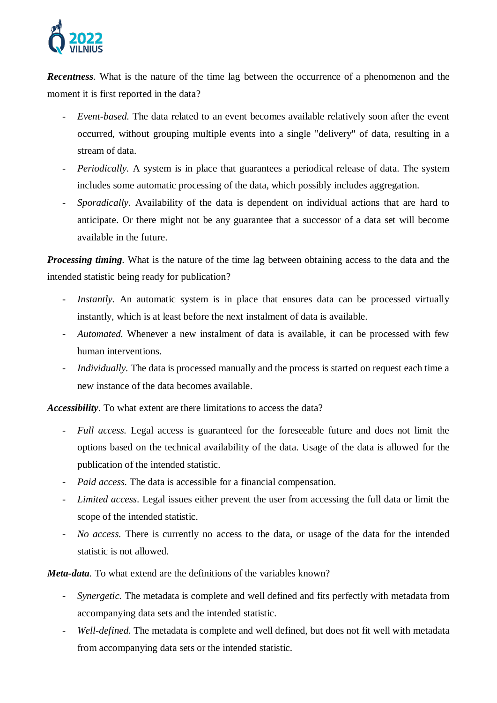

*Recentness.* What is the nature of the time lag between the occurrence of a phenomenon and the moment it is first reported in the data?

- *Event-based.* The data related to an event becomes available relatively soon after the event occurred, without grouping multiple events into a single "delivery" of data, resulting in a stream of data.
- *Periodically.* A system is in place that guarantees a periodical release of data. The system includes some automatic processing of the data, which possibly includes aggregation.
- *Sporadically.* Availability of the data is dependent on individual actions that are hard to anticipate. Or there might not be any guarantee that a successor of a data set will become available in the future.

*Processing timing.* What is the nature of the time lag between obtaining access to the data and the intended statistic being ready for publication?

- *Instantly*. An automatic system is in place that ensures data can be processed virtually instantly, which is at least before the next instalment of data is available.
- *Automated.* Whenever a new instalment of data is available, it can be processed with few human interventions.
- *Individually.* The data is processed manually and the process is started on request each time a new instance of the data becomes available.

*Accessibility.* To what extent are there limitations to access the data?

- *Full access.* Legal access is guaranteed for the foreseeable future and does not limit the options based on the technical availability of the data. Usage of the data is allowed for the publication of the intended statistic.
- *Paid access.* The data is accessible for a financial compensation.
- *Limited access*. Legal issues either prevent the user from accessing the full data or limit the scope of the intended statistic.
- *No access.* There is currently no access to the data, or usage of the data for the intended statistic is not allowed.

*Meta-data.* To what extend are the definitions of the variables known?

- *Synergetic.* The metadata is complete and well defined and fits perfectly with metadata from accompanying data sets and the intended statistic.
- *Well-defined.* The metadata is complete and well defined, but does not fit well with metadata from accompanying data sets or the intended statistic.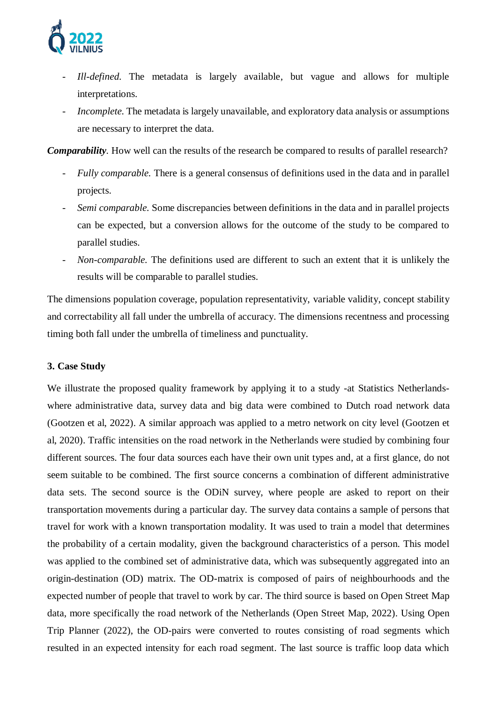

- *Ill-defined.* The metadata is largely available, but vague and allows for multiple interpretations.
- *Incomplete.* The metadata is largely unavailable, and exploratory data analysis or assumptions are necessary to interpret the data.

*Comparability.* How well can the results of the research be compared to results of parallel research?

- *Fully comparable.* There is a general consensus of definitions used in the data and in parallel projects.
- *Semi comparable.* Some discrepancies between definitions in the data and in parallel projects can be expected, but a conversion allows for the outcome of the study to be compared to parallel studies.
- *Non-comparable.* The definitions used are different to such an extent that it is unlikely the results will be comparable to parallel studies.

The dimensions population coverage, population representativity, variable validity, concept stability and correctability all fall under the umbrella of accuracy. The dimensions recentness and processing timing both fall under the umbrella of timeliness and punctuality.

## **3. Case Study**

We illustrate the proposed quality framework by applying it to a study -at Statistics Netherlandswhere administrative data, survey data and big data were combined to Dutch road network data (Gootzen et al, 2022). A similar approach was applied to a metro network on city level (Gootzen et al, 2020). Traffic intensities on the road network in the Netherlands were studied by combining four different sources. The four data sources each have their own unit types and, at a first glance, do not seem suitable to be combined. The first source concerns a combination of different administrative data sets. The second source is the ODiN survey, where people are asked to report on their transportation movements during a particular day. The survey data contains a sample of persons that travel for work with a known transportation modality. It was used to train a model that determines the probability of a certain modality, given the background characteristics of a person. This model was applied to the combined set of administrative data, which was subsequently aggregated into an origin-destination (OD) matrix. The OD-matrix is composed of pairs of neighbourhoods and the expected number of people that travel to work by car. The third source is based on Open Street Map data, more specifically the road network of the Netherlands (Open Street Map, 2022). Using Open Trip Planner (2022), the OD-pairs were converted to routes consisting of road segments which resulted in an expected intensity for each road segment. The last source is traffic loop data which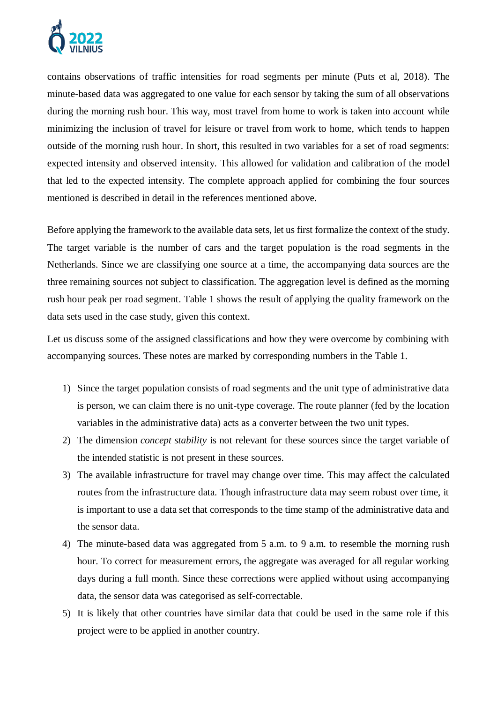

contains observations of traffic intensities for road segments per minute (Puts et al, 2018). The minute-based data was aggregated to one value for each sensor by taking the sum of all observations during the morning rush hour. This way, most travel from home to work is taken into account while minimizing the inclusion of travel for leisure or travel from work to home, which tends to happen outside of the morning rush hour. In short, this resulted in two variables for a set of road segments: expected intensity and observed intensity. This allowed for validation and calibration of the model that led to the expected intensity. The complete approach applied for combining the four sources mentioned is described in detail in the references mentioned above.

Before applying the framework to the available data sets, let us first formalize the context of the study. The target variable is the number of cars and the target population is the road segments in the Netherlands. Since we are classifying one source at a time, the accompanying data sources are the three remaining sources not subject to classification. The aggregation level is defined as the morning rush hour peak per road segment. Table 1 shows the result of applying the quality framework on the data sets used in the case study, given this context.

Let us discuss some of the assigned classifications and how they were overcome by combining with accompanying sources. These notes are marked by corresponding numbers in the Table 1.

- 1) Since the target population consists of road segments and the unit type of administrative data is person, we can claim there is no unit-type coverage. The route planner (fed by the location variables in the administrative data) acts as a converter between the two unit types.
- 2) The dimension *concept stability* is not relevant for these sources since the target variable of the intended statistic is not present in these sources.
- 3) The available infrastructure for travel may change over time. This may affect the calculated routes from the infrastructure data. Though infrastructure data may seem robust over time, it is important to use a data set that corresponds to the time stamp of the administrative data and the sensor data.
- 4) The minute-based data was aggregated from 5 a.m. to 9 a.m. to resemble the morning rush hour. To correct for measurement errors, the aggregate was averaged for all regular working days during a full month. Since these corrections were applied without using accompanying data, the sensor data was categorised as self-correctable.
- 5) It is likely that other countries have similar data that could be used in the same role if this project were to be applied in another country.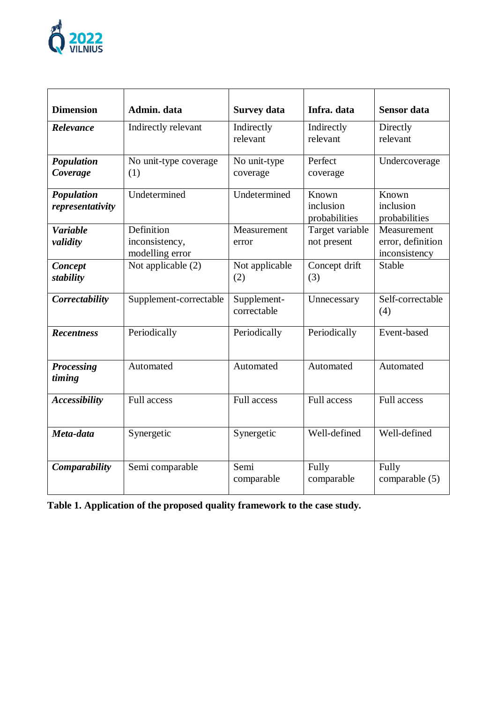

| <b>Dimension</b>               | Admin. data                                     | <b>Survey data</b>         | Infra. data                         | <b>Sensor</b> data                                |
|--------------------------------|-------------------------------------------------|----------------------------|-------------------------------------|---------------------------------------------------|
| Relevance                      | Indirectly relevant                             | Indirectly<br>relevant     | Indirectly<br>relevant              | Directly<br>relevant                              |
| Population<br>Coverage         | No unit-type coverage<br>(1)                    | No unit-type<br>coverage   | Perfect<br>coverage                 | Undercoverage                                     |
| Population<br>representativity | Undetermined                                    | Undetermined               | Known<br>inclusion<br>probabilities | Known<br>inclusion<br>probabilities               |
| <b>Variable</b><br>validity    | Definition<br>inconsistency,<br>modelling error | Measurement<br>error       | Target variable<br>not present      | Measurement<br>error, definition<br>inconsistency |
| Concept<br>stability           | Not applicable (2)                              | Not applicable<br>(2)      | Concept drift<br>(3)                | <b>Stable</b>                                     |
| Correctability                 | Supplement-correctable                          | Supplement-<br>correctable | Unnecessary                         | Self-correctable<br>(4)                           |
| <b>Recentness</b>              | Periodically                                    | Periodically               | Periodically                        | Event-based                                       |
| <b>Processing</b><br>timing    | Automated                                       | Automated                  | Automated                           | Automated                                         |
| <b>Accessibility</b>           | <b>Full access</b>                              | <b>Full access</b>         | <b>Full access</b>                  | <b>Full access</b>                                |
| Meta-data                      | Synergetic                                      | Synergetic                 | Well-defined                        | Well-defined                                      |
| Comparability                  | Semi comparable                                 | Semi<br>comparable         | Fully<br>comparable                 | Fully<br>comparable (5)                           |

**Table 1. Application of the proposed quality framework to the case study.**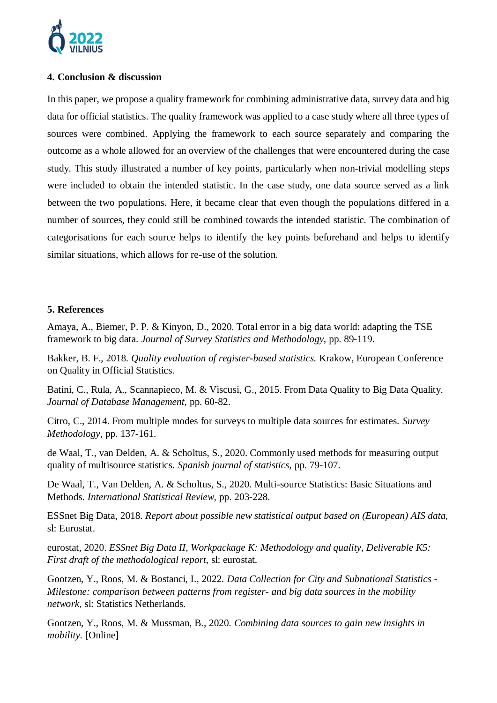

# **4. Conclusion & discussion**

In this paper, we propose a quality framework for combining administrative data, survey data and big data for official statistics. The quality framework was applied to a case study where all three types of sources were combined. Applying the framework to each source separately and comparing the outcome as a whole allowed for an overview of the challenges that were encountered during the case study. This study illustrated a number of key points, particularly when non-trivial modelling steps were included to obtain the intended statistic. In the case study, one data source served as a link between the two populations. Here, it became clear that even though the populations differed in a number of sources, they could still be combined towards the intended statistic. The combination of categorisations for each source helps to identify the key points beforehand and helps to identify similar situations, which allows for re-use of the solution.

# **5. References**

Amaya, A., Biemer, P. P. & Kinyon, D., 2020. Total error in a big data world: adapting the TSE framework to big data. *Journal of Survey Statistics and Methodology,* pp. 89-119.

Bakker, B. F., 2018. *Quality evaluation of register-based statistics.* Krakow, European Conference on Quality in Official Statistics.

Batini, C., Rula, A., Scannapieco, M. & Viscusi, G., 2015. From Data Quality to Big Data Quality. *Journal of Database Management,* pp. 60-82.

Citro, C., 2014. From multiple modes for surveys to multiple data sources for estimates. *Survey Methodology,* pp. 137-161.

de Waal, T., van Delden, A. & Scholtus, S., 2020. Commonly used methods for measuring output quality of multisource statistics. *Spanish journal of statistics,* pp. 79-107.

De Waal, T., Van Delden, A. & Scholtus, S., 2020. Multi-source Statistics: Basic Situations and Methods. *International Statistical Review,* pp. 203-228.

ESSnet Big Data, 2018. *Report about possible new statistical output based on (European) AIS data,*  sl: Eurostat.

eurostat, 2020. *ESSnet Big Data II, Workpackage K: Methodology and quality, Deliverable K5: First draft of the methodological report,* sl: eurostat.

Gootzen, Y., Roos, M. & Bostanci, I., 2022. *Data Collection for City and Subnational Statistics - Milestone: comparison between patterns from register- and big data sources in the mobility network,* sl: Statistics Netherlands.

Gootzen, Y., Roos, M. & Mussman, B., 2020. *Combining data sources to gain new insights in mobility.* [Online]